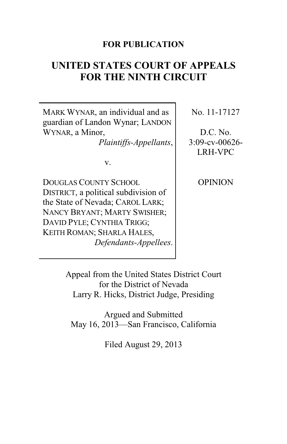## **FOR PUBLICATION**

# **UNITED STATES COURT OF APPEALS FOR THE NINTH CIRCUIT**

MARK WYNAR, an individual and as guardian of Landon Wynar; LANDON WYNAR, a Minor,

*Plaintiffs-Appellants*,

v.

DOUGLAS COUNTY SCHOOL DISTRICT, a political subdivision of the State of Nevada; CAROL LARK; NANCY BRYANT; MARTY SWISHER; DAVID PYLE; CYNTHIA TRIGG; KEITH ROMAN; SHARLA HALES, *Defendants-Appellees*. No. 11-17127

D.C. No. 3:09-cv-00626- LRH-VPC

**OPINION** 

Appeal from the United States District Court for the District of Nevada Larry R. Hicks, District Judge, Presiding

Argued and Submitted May 16, 2013—San Francisco, California

Filed August 29, 2013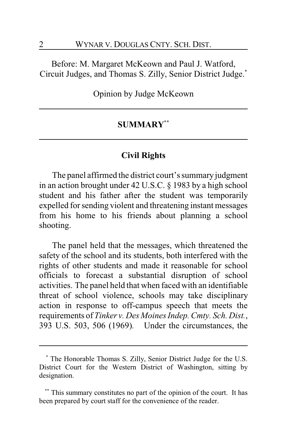Before: M. Margaret McKeown and Paul J. Watford, Circuit Judges, and Thomas S. Zilly, Senior District Judge.**\***

Opinion by Judge McKeown

## **SUMMARY\*\***

## **Civil Rights**

The panel affirmed the district court's summary judgment in an action brought under 42 U.S.C. § 1983 by a high school student and his father after the student was temporarily expelled for sending violent and threatening instant messages from his home to his friends about planning a school shooting.

The panel held that the messages, which threatened the safety of the school and its students, both interfered with the rights of other students and made it reasonable for school officials to forecast a substantial disruption of school activities. The panel held that when faced with an identifiable threat of school violence, schools may take disciplinary action in response to off-campus speech that meets the requirements of *Tinker v. Des Moines Indep. Cmty. Sch. Dist.*, 393 U.S. 503, 506 (1969)*.* Under the circumstances, the

**<sup>\*</sup>** The Honorable Thomas S. Zilly, Senior District Judge for the U.S. District Court for the Western District of Washington, sitting by designation.

This summary constitutes no part of the opinion of the court. It has been prepared by court staff for the convenience of the reader.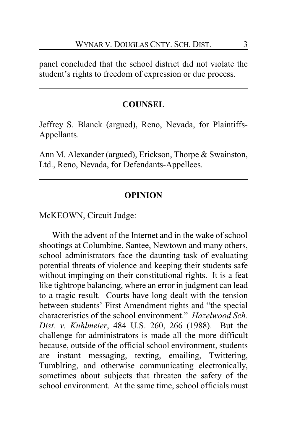panel concluded that the school district did not violate the student's rights to freedom of expression or due process.

## **COUNSEL**

Jeffrey S. Blanck (argued), Reno, Nevada, for Plaintiffs-Appellants.

Ann M. Alexander (argued), Erickson, Thorpe & Swainston, Ltd., Reno, Nevada, for Defendants-Appellees.

## **OPINION**

McKEOWN, Circuit Judge:

With the advent of the Internet and in the wake of school shootings at Columbine, Santee, Newtown and many others, school administrators face the daunting task of evaluating potential threats of violence and keeping their students safe without impinging on their constitutional rights. It is a feat like tightrope balancing, where an error in judgment can lead to a tragic result. Courts have long dealt with the tension between students' First Amendment rights and "the special characteristics of the school environment." *Hazelwood Sch. Dist. v. Kuhlmeier*, 484 U.S. 260, 266 (1988). But the challenge for administrators is made all the more difficult because, outside of the official school environment, students are instant messaging, texting, emailing, Twittering, Tumblring, and otherwise communicating electronically, sometimes about subjects that threaten the safety of the school environment. At the same time, school officials must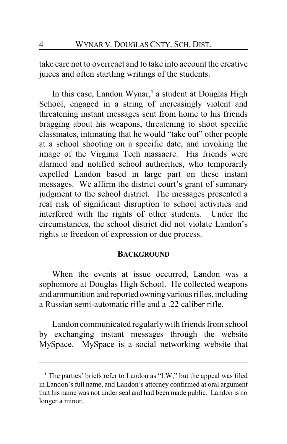take care not to overreact and to take into account the creative juices and often startling writings of the students.

In this case, Landon Wynar,**<sup>1</sup>** a student at Douglas High School, engaged in a string of increasingly violent and threatening instant messages sent from home to his friends bragging about his weapons, threatening to shoot specific classmates, intimating that he would "take out" other people at a school shooting on a specific date, and invoking the image of the Virginia Tech massacre. His friends were alarmed and notified school authorities, who temporarily expelled Landon based in large part on these instant messages. We affirm the district court's grant of summary judgment to the school district. The messages presented a real risk of significant disruption to school activities and interfered with the rights of other students. Under the circumstances, the school district did not violate Landon's rights to freedom of expression or due process.

#### **BACKGROUND**

When the events at issue occurred, Landon was a sophomore at Douglas High School. He collected weapons and ammunition and reported owning various rifles, including a Russian semi-automatic rifle and a .22 caliber rifle.

Landon communicated regularlywith friends from school by exchanging instant messages through the website MySpace. MySpace is a social networking website that

<sup>&</sup>lt;sup>1</sup> The parties' briefs refer to Landon as "LW," but the appeal was filed in Landon's full name, and Landon's attorney confirmed at oral argument that his name was not under seal and had been made public. Landon is no longer a minor.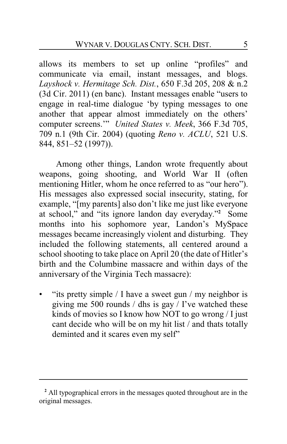allows its members to set up online "profiles" and communicate via email, instant messages, and blogs. *Layshock v. Hermitage Sch. Dist.*, 650 F.3d 205, 208 & n.2 (3d Cir. 2011) (en banc). Instant messages enable "users to engage in real-time dialogue 'by typing messages to one another that appear almost immediately on the others' computer screens.'" *United States v. Meek*, 366 F.3d 705, 709 n.1 (9th Cir. 2004) (quoting *Reno v. ACLU*, 521 U.S. 844, 851–52 (1997)).

Among other things, Landon wrote frequently about weapons, going shooting, and World War II (often mentioning Hitler, whom he once referred to as "our hero"). His messages also expressed social insecurity, stating, for example, "[my parents] also don't like me just like everyone at school," and "its ignore landon day everyday." **<sup>2</sup>** Some months into his sophomore year, Landon's MySpace messages became increasingly violent and disturbing. They included the following statements, all centered around a school shooting to take place on April 20 (the date of Hitler's birth and the Columbine massacre and within days of the anniversary of the Virginia Tech massacre):

• "its pretty simple / I have a sweet gun / my neighbor is giving me 500 rounds / dhs is gay / I've watched these kinds of movies so I know how NOT to go wrong / I just cant decide who will be on my hit list / and thats totally deminted and it scares even my self"

**<sup>2</sup>** All typographical errors in the messages quoted throughout are in the original messages.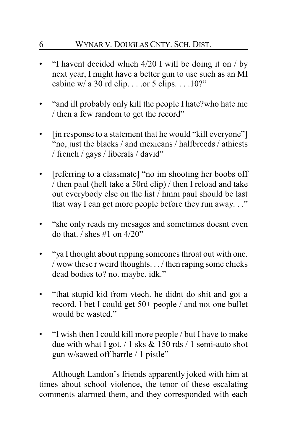## 6 WYNAR V. DOUGLAS CNTY. SCH. DIST.

- "I havent decided which  $4/20$  I will be doing it on  $/$  by next year, I might have a better gun to use such as an MI cabine w/ a 30 rd clip. . . .or 5 clips. . . .10?"
- "and ill probably only kill the people I hate?who hate me / then a few random to get the record"
- [in response to a statement that he would "kill everyone"] "no, just the blacks / and mexicans / halfbreeds / athiests / french / gays / liberals / david"
- [referring to a classmate] "no im shooting her boobs off / then paul (hell take a 50rd clip) / then I reload and take out everybody else on the list / hmm paul should be last that way I can get more people before they run away. . ."
- "she only reads my mesages and sometimes doesnt even do that.  $\frac{1}{2}$  shes #1 on 4/20"
- "ya Ithought about ripping someones throat out with one. / wow these r weird thoughts. . . / then raping some chicks dead bodies to? no. maybe. idk."
- "that stupid kid from vtech. he didnt do shit and got a record. I bet I could get 50+ people / and not one bullet would be wasted."
- "I wish then I could kill more people / but I have to make due with what I got. / 1 sks & 150 rds / 1 semi-auto shot gun w/sawed off barrle / 1 pistle"

Although Landon's friends apparently joked with him at times about school violence, the tenor of these escalating comments alarmed them, and they corresponded with each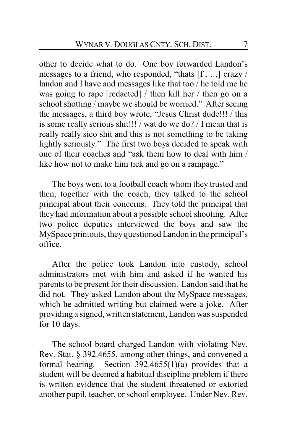other to decide what to do. One boy forwarded Landon's messages to a friend, who responded, "thats [f . . .] crazy / landon and I have and messages like that too / he told me he was going to rape [redacted] / then kill her / then go on a school shotting / maybe we should be worried." After seeing the messages, a third boy wrote, "Jesus Christ dude!!! / this is some really serious shit!!! / wat do we do? / I mean that is really really sico shit and this is not something to be taking lightly seriously." The first two boys decided to speak with one of their coaches and "ask them how to deal with him / like how not to make him tick and go on a rampage."

The boys went to a football coach whom they trusted and then, together with the coach, they talked to the school principal about their concerns. They told the principal that they had information about a possible school shooting. After two police deputies interviewed the boys and saw the MySpace printouts, they questioned Landon in the principal's office.

After the police took Landon into custody, school administrators met with him and asked if he wanted his parents to be present for their discussion. Landon said that he did not. They asked Landon about the MySpace messages, which he admitted writing but claimed were a joke. After providing a signed, written statement, Landon was suspended for 10 days.

The school board charged Landon with violating Nev. Rev. Stat. § 392.4655, among other things, and convened a formal hearing. Section 392.4655(1)(a) provides that a student will be deemed a habitual discipline problem if there is written evidence that the student threatened or extorted another pupil, teacher, or school employee. Under Nev. Rev.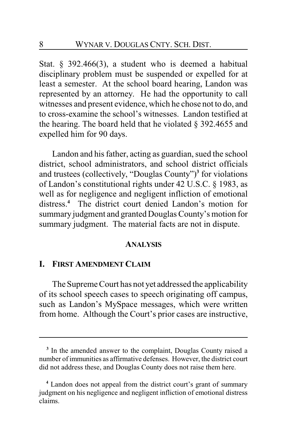Stat. § 392.466(3), a student who is deemed a habitual disciplinary problem must be suspended or expelled for at least a semester. At the school board hearing, Landon was represented by an attorney. He had the opportunity to call witnesses and present evidence, which he chose not to do, and to cross-examine the school's witnesses. Landon testified at the hearing. The board held that he violated § 392.4655 and expelled him for 90 days.

Landon and his father, acting as guardian, sued the school district, school administrators, and school district officials and trustees (collectively, "Douglas County")**<sup>3</sup>** for violations of Landon's constitutional rights under 42 U.S.C. § 1983, as well as for negligence and negligent infliction of emotional distress.**<sup>4</sup>** The district court denied Landon's motion for summary judgment and granted Douglas County's motion for summary judgment. The material facts are not in dispute.

#### **ANALYSIS**

#### **I. FIRST AMENDMENT CLAIM**

The Supreme Court has not yet addressed the applicability of its school speech cases to speech originating off campus, such as Landon's MySpace messages, which were written from home. Although the Court's prior cases are instructive,

<sup>&</sup>lt;sup>3</sup> In the amended answer to the complaint, Douglas County raised a number ofimmunities as affirmative defenses. However, the district court did not address these, and Douglas County does not raise them here.

**<sup>4</sup>** Landon does not appeal from the district court's grant of summary judgment on his negligence and negligent infliction of emotional distress claims.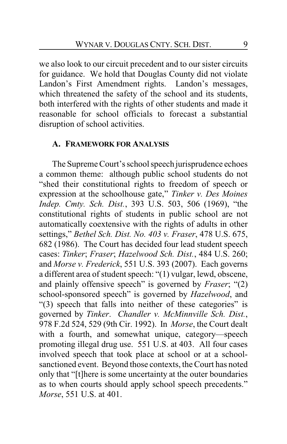we also look to our circuit precedent and to our sister circuits for guidance. We hold that Douglas County did not violate Landon's First Amendment rights. Landon's messages, which threatened the safety of the school and its students, both interfered with the rights of other students and made it reasonable for school officials to forecast a substantial disruption of school activities.

#### **A. FRAMEWORK FOR ANALYSIS**

The Supreme Court's school speech jurisprudence echoes a common theme: although public school students do not "shed their constitutional rights to freedom of speech or expression at the schoolhouse gate," *Tinker v. Des Moines Indep. Cmty. Sch. Dist.*, 393 U.S. 503, 506 (1969), "the constitutional rights of students in public school are not automatically coextensive with the rights of adults in other settings," *Bethel Sch. Dist. No. 403 v. Fraser*, 478 U.S. 675, 682 (1986). The Court has decided four lead student speech cases: *Tinker*; *Fraser*; *Hazelwood Sch. Dist.*, 484 U.S. 260; and *Morse v. Frederick*, 551 U.S. 393 (2007). Each governs a different area of student speech: "(1) vulgar, lewd, obscene, and plainly offensive speech" is governed by *Fraser*; "(2) school-sponsored speech" is governed by *Hazelwood*, and "(3) speech that falls into neither of these categories" is governed by *Tinker*. *Chandler v. McMinnville Sch. Dist.*, 978 F.2d 524, 529 (9th Cir. 1992). In *Morse*, the Court dealt with a fourth, and somewhat unique, category—speech promoting illegal drug use. 551 U.S. at 403. All four cases involved speech that took place at school or at a schoolsanctioned event. Beyond those contexts, the Court has noted only that "[t]here is some uncertainty at the outer boundaries as to when courts should apply school speech precedents." *Morse*, 551 U.S. at 401.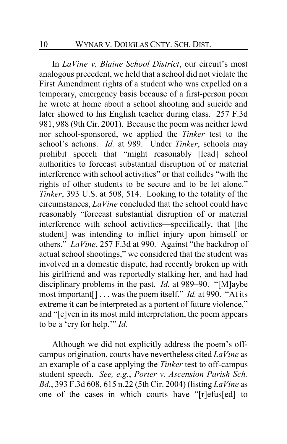In *LaVine v. Blaine School District*, our circuit's most analogous precedent, we held that a school did not violate the First Amendment rights of a student who was expelled on a temporary, emergency basis because of a first-person poem he wrote at home about a school shooting and suicide and later showed to his English teacher during class. 257 F.3d 981, 988 (9th Cir. 2001). Because the poem was neither lewd nor school-sponsored, we applied the *Tinker* test to the school's actions. *Id.* at 989. Under *Tinker*, schools may prohibit speech that "might reasonably [lead] school authorities to forecast substantial disruption of or material interference with school activities" or that collides "with the rights of other students to be secure and to be let alone." *Tinker*, 393 U.S. at 508, 514. Looking to the totality of the circumstances, *LaVine* concluded that the school could have reasonably "forecast substantial disruption of or material interference with school activities—specifically, that [the student] was intending to inflict injury upon himself or others." *LaVine*, 257 F.3d at 990. Against "the backdrop of actual school shootings," we considered that the student was involved in a domestic dispute, had recently broken up with his girlfriend and was reportedly stalking her, and had had disciplinary problems in the past. *Id.* at 989–90. "[M]aybe most important[] . . . was the poem itself." *Id.* at 990. "At its extreme it can be interpreted as a portent of future violence," and "[e]ven in its most mild interpretation, the poem appears to be a 'cry for help.'" *Id.*

Although we did not explicitly address the poem's offcampus origination, courts have nevertheless cited *LaVine* as an example of a case applying the *Tinker* test to off-campus student speech. *See, e.g.*, *Porter v. Ascension Parish Sch. Bd.*, 393 F.3d 608, 615 n.22 (5th Cir. 2004) (listing *LaVine* as one of the cases in which courts have "[r]efus[ed] to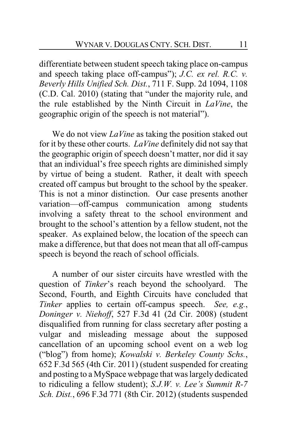differentiate between student speech taking place on-campus and speech taking place off-campus"); *J.C. ex rel. R.C. v. Beverly Hills Unified Sch. Dist.*, 711 F. Supp. 2d 1094, 1108 (C.D. Cal. 2010) (stating that "under the majority rule, and the rule established by the Ninth Circuit in *LaVine*, the geographic origin of the speech is not material").

We do not view *LaVine* as taking the position staked out for it by these other courts. *LaVine* definitely did not say that the geographic origin of speech doesn't matter, nor did it say that an individual's free speech rights are diminished simply by virtue of being a student. Rather, it dealt with speech created off campus but brought to the school by the speaker. This is not a minor distinction. Our case presents another variation—off-campus communication among students involving a safety threat to the school environment and brought to the school's attention by a fellow student, not the speaker. As explained below, the location of the speech can make a difference, but that does not mean that all off-campus speech is beyond the reach of school officials.

A number of our sister circuits have wrestled with the question of *Tinker*'s reach beyond the schoolyard. The Second, Fourth, and Eighth Circuits have concluded that *Tinker* applies to certain off-campus speech. *See, e.g.*, *Doninger v. Niehoff*, 527 F.3d 41 (2d Cir. 2008) (student disqualified from running for class secretary after posting a vulgar and misleading message about the supposed cancellation of an upcoming school event on a web log ("blog") from home); *Kowalski v. Berkeley County Schs.*, 652 F.3d 565 (4th Cir. 2011) (student suspended for creating and posting to a MySpace webpage that was largely dedicated to ridiculing a fellow student); *S.J.W. v. Lee's Summit R-7 Sch. Dist.*, 696 F.3d 771 (8th Cir. 2012) (students suspended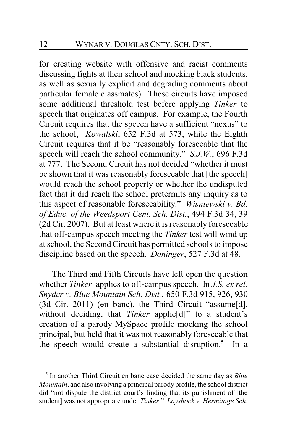for creating website with offensive and racist comments discussing fights at their school and mocking black students, as well as sexually explicit and degrading comments about particular female classmates). These circuits have imposed some additional threshold test before applying *Tinker* to speech that originates off campus. For example, the Fourth Circuit requires that the speech have a sufficient "nexus" to the school, *Kowalski*, 652 F.3d at 573, while the Eighth Circuit requires that it be "reasonably foreseeable that the speech will reach the school community." *S.J.W.*, 696 F.3d at 777. The Second Circuit has not decided "whether it must be shown that it was reasonably foreseeable that [the speech] would reach the school property or whether the undisputed fact that it did reach the school pretermits any inquiry as to this aspect of reasonable foreseeability." *Wisniewski v. Bd. of Educ. of the Weedsport Cent. Sch. Dist.*, 494 F.3d 34, 39 (2d Cir. 2007). But at least where it is reasonably foreseeable that off-campus speech meeting the *Tinker* test will wind up at school, the Second Circuit has permitted schools to impose discipline based on the speech. *Doninger*, 527 F.3d at 48.

The Third and Fifth Circuits have left open the question whether *Tinker* applies to off-campus speech. In *J.S. ex rel. Snyder v. Blue Mountain Sch. Dist.*, 650 F.3d 915, 926, 930 (3d Cir. 2011) (en banc), the Third Circuit "assume[d], without deciding, that *Tinker* applie[d]" to a student's creation of a parody MySpace profile mocking the school principal, but held that it was not reasonably foreseeable that the speech would create a substantial disruption.**<sup>5</sup>** In a

**<sup>5</sup>** In another Third Circuit en banc case decided the same day as *Blue Mountain*, and also involving a principal parody profile, the school district did "not dispute the district court's finding that its punishment of [the student] was not appropriate under *Tinker*." *Layshock v. Hermitage Sch.*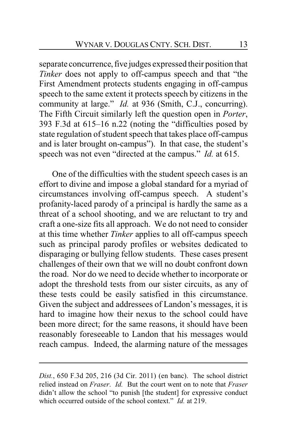separate concurrence, five judges expressed their position that *Tinker* does not apply to off-campus speech and that "the First Amendment protects students engaging in off-campus speech to the same extent it protects speech by citizens in the community at large." *Id.* at 936 (Smith, C.J., concurring). The Fifth Circuit similarly left the question open in *Porter*, 393 F.3d at 615–16 n.22 (noting the "difficulties posed by state regulation of student speech that takes place off-campus and is later brought on-campus"). In that case, the student's speech was not even "directed at the campus." *Id.* at 615.

One of the difficulties with the student speech cases is an effort to divine and impose a global standard for a myriad of circumstances involving off-campus speech. A student's profanity-laced parody of a principal is hardly the same as a threat of a school shooting, and we are reluctant to try and craft a one-size fits all approach. We do not need to consider at this time whether *Tinker* applies to all off-campus speech such as principal parody profiles or websites dedicated to disparaging or bullying fellow students. These cases present challenges of their own that we will no doubt confront down the road. Nor do we need to decide whether to incorporate or adopt the threshold tests from our sister circuits, as any of these tests could be easily satisfied in this circumstance. Given the subject and addressees of Landon's messages, it is hard to imagine how their nexus to the school could have been more direct; for the same reasons, it should have been reasonably foreseeable to Landon that his messages would reach campus. Indeed, the alarming nature of the messages

*Dist.*, 650 F.3d 205, 216 (3d Cir. 2011) (en banc). The school district relied instead on *Fraser*. *Id.* But the court went on to note that *Fraser* didn't allow the school "to punish [the student] for expressive conduct which occurred outside of the school context." *Id.* at 219.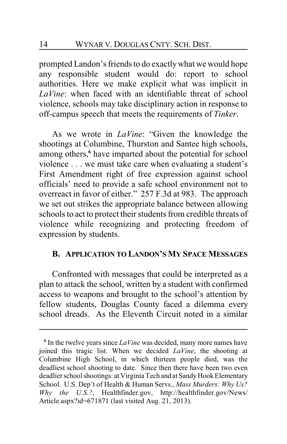prompted Landon's friends to do exactlywhat we would hope any responsible student would do: report to school authorities. Here we make explicit what was implicit in *LaVine*: when faced with an identifiable threat of school violence, schools may take disciplinary action in response to off-campus speech that meets the requirements of *Tinker*.

As we wrote in *LaVine*: "Given the knowledge the shootings at Columbine, Thurston and Santee high schools, among others,**<sup>6</sup>** have imparted about the potential for school violence . . . we must take care when evaluating a student's First Amendment right of free expression against school officials' need to provide a safe school environment not to overreact in favor of either." 257 F.3d at 983. The approach we set out strikes the appropriate balance between allowing schools to act to protect their students from credible threats of violence while recognizing and protecting freedom of expression by students.

## **B. APPLICATION TO LANDON'S MY SPACE MESSAGES**

Confronted with messages that could be interpreted as a plan to attack the school, written by a student with confirmed access to weapons and brought to the school's attention by fellow students, Douglas County faced a dilemma every school dreads. As the Eleventh Circuit noted in a similar

**<sup>6</sup>** In the twelve years since *LaVine* was decided, many more names have joined this tragic list. When we decided *LaVine*, the shooting at Columbine High School, in which thirteen people died, was the deadliest school shooting to date. Since then there have been two even deadlier school shootings: at Virginia Tech and at Sandy Hook Elementary School. U.S. Dep't of Health & Human Servs., *Mass Murders: Why Us? Why the U.S.?*, Healthfinder.gov, http://healthfinder.gov/News/ Article.aspx?id=671871 (last visited Aug. 21, 2013).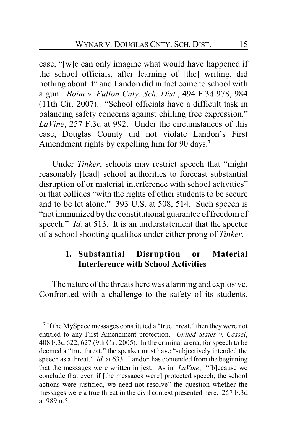case, "[w]e can only imagine what would have happened if the school officials, after learning of [the] writing, did nothing about it" and Landon did in fact come to school with a gun. *Boim v. Fulton Cnty. Sch. Dist.*, 494 F.3d 978, 984 (11th Cir. 2007). "School officials have a difficult task in balancing safety concerns against chilling free expression." *LaVine*, 257 F.3d at 992. Under the circumstances of this case, Douglas County did not violate Landon's First Amendment rights by expelling him for 90 days.**<sup>7</sup>**

Under *Tinker*, schools may restrict speech that "might reasonably [lead] school authorities to forecast substantial disruption of or material interference with school activities" or that collides "with the rights of other students to be secure and to be let alone." 393 U.S. at 508, 514. Such speech is "not immunized by the constitutional guarantee of freedom of speech." *Id.* at 513. It is an understatement that the specter of a school shooting qualifies under either prong of *Tinker*.

## **1. Substantial Disruption or Material Interference with School Activities**

The nature of the threats here was alarming and explosive. Confronted with a challenge to the safety of its students,

<sup>&</sup>lt;sup>7</sup> If the MySpace messages constituted a "true threat," then they were not entitled to any First Amendment protection. *United States v. Cassel*, 408 F.3d 622, 627 (9th Cir. 2005). In the criminal arena, for speech to be deemed a "true threat," the speaker must have "subjectively intended the speech as a threat." *Id.* at 633. Landon has contended from the beginning that the messages were written in jest. As in *LaVine*, "[b]ecause we conclude that even if [the messages were] protected speech, the school actions were justified, we need not resolve" the question whether the messages were a true threat in the civil context presented here. 257 F.3d at 989 n.5.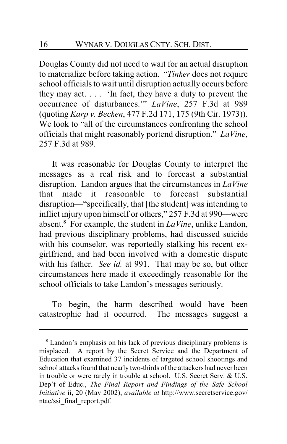Douglas County did not need to wait for an actual disruption to materialize before taking action. "*Tinker* does not require school officials to wait until disruption actually occurs before they may act. . . . 'In fact, they have a duty to prevent the occurrence of disturbances.'" *LaVine*, 257 F.3d at 989 (quoting *Karp v. Becken*, 477 F.2d 171, 175 (9th Cir. 1973)). We look to "all of the circumstances confronting the school officials that might reasonably portend disruption." *LaVine*, 257 F.3d at 989.

It was reasonable for Douglas County to interpret the messages as a real risk and to forecast a substantial disruption. Landon argues that the circumstances in *LaVine* that made it reasonable to forecast substantial disruption—"specifically, that [the student] was intending to inflict injury upon himself or others," 257 F.3d at 990—were absent.**<sup>8</sup>** For example, the student in *LaVine*, unlike Landon, had previous disciplinary problems, had discussed suicide with his counselor, was reportedly stalking his recent exgirlfriend, and had been involved with a domestic dispute with his father. *See id.* at 991. That may be so, but other circumstances here made it exceedingly reasonable for the school officials to take Landon's messages seriously.

To begin, the harm described would have been catastrophic had it occurred. The messages suggest a

**<sup>8</sup>** Landon's emphasis on his lack of previous disciplinary problems is misplaced. A report by the Secret Service and the Department of Education that examined 37 incidents of targeted school shootings and school attacks found that nearly two-thirds of the attackers had never been in trouble or were rarely in trouble at school. U.S. Secret Serv. & U.S. Dep't of Educ., *The Final Report and Findings of the Safe School Initiative* ii, 20 (May 2002), *available at* http://www.secretservice.gov/ ntac/ssi\_final\_report.pdf.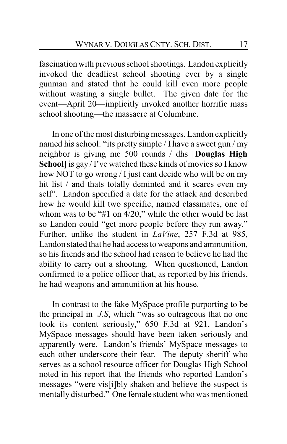fascination with previous school shootings. Landon explicitly invoked the deadliest school shooting ever by a single gunman and stated that he could kill even more people without wasting a single bullet. The given date for the event—April 20—implicitly invoked another horrific mass school shooting—the massacre at Columbine.

In one of the most disturbing messages, Landon explicitly named his school: "its pretty simple / I have a sweet gun / my neighbor is giving me 500 rounds / dhs [**Douglas High School**] is gay / I've watched these kinds of movies so I know how NOT to go wrong / I just cant decide who will be on my hit list / and thats totally deminted and it scares even my self". Landon specified a date for the attack and described how he would kill two specific, named classmates, one of whom was to be "#1 on 4/20," while the other would be last so Landon could "get more people before they run away." Further, unlike the student in *LaVine*, 257 F.3d at 985, Landon stated that he had access to weapons and ammunition, so his friends and the school had reason to believe he had the ability to carry out a shooting. When questioned, Landon confirmed to a police officer that, as reported by his friends, he had weapons and ammunition at his house.

In contrast to the fake MySpace profile purporting to be the principal in *J.S*, which "was so outrageous that no one took its content seriously," 650 F.3d at 921, Landon's MySpace messages should have been taken seriously and apparently were. Landon's friends' MySpace messages to each other underscore their fear. The deputy sheriff who serves as a school resource officer for Douglas High School noted in his report that the friends who reported Landon's messages "were vis[i]bly shaken and believe the suspect is mentally disturbed." One female student who was mentioned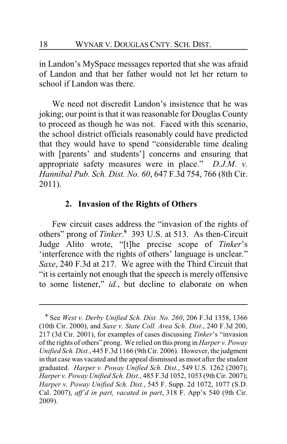in Landon's MySpace messages reported that she was afraid of Landon and that her father would not let her return to school if Landon was there.

We need not discredit Landon's insistence that he was joking; our point is that it was reasonable for Douglas County to proceed as though he was not. Faced with this scenario, the school district officials reasonably could have predicted that they would have to spend "considerable time dealing with [parents' and students'] concerns and ensuring that appropriate safety measures were in place." *D.J.M. v. Hannibal Pub. Sch. Dist. No. 60*, 647 F.3d 754, 766 (8th Cir. 2011).

## **2. Invasion of the Rights of Others**

Few circuit cases address the "invasion of the rights of others" prong of *Tinker*. **9** 393 U.S. at 513. As then-Circuit Judge Alito wrote, "[t]he precise scope of *Tinker*'s 'interference with the rights of others' language is unclear." *Saxe*, 240 F.3d at 217. We agree with the Third Circuit that "it is certainly not enough that the speech is merely offensive to some listener," *id.*, but decline to elaborate on when

**<sup>9</sup>** See *West v. Derby Unified Sch. Dist. No. 260*, 206 F.3d 1358, 1366 (10th Cir. 2000), and *Saxe v. State Coll. Area Sch. Dist.*, 240 F.3d 200, 217 (3d Cir. 2001), for examples of cases discussing *Tinker*'s "invasion of the rights of others" prong. We relied on this prong in *Harper v. Poway Unified Sch. Dist.*, 445 F.3d 1166 (9thCir. 2006). However, the judgment in that case was vacated and the appeal dismissed as moot after the student graduated. *Harper v. Poway Unified Sch. Dist.*, 549 U.S. 1262 (2007); *Harper v. Poway Unified Sch. Dist.*, 485 F.3d 1052, 1053 (9th Cir. 2007); *Harper v. Poway Unified Sch. Dist.*, 545 F. Supp. 2d 1072, 1077 (S.D. Cal. 2007), *aff'd in part, vacated in part*, 318 F. App'x 540 (9th Cir. 2009).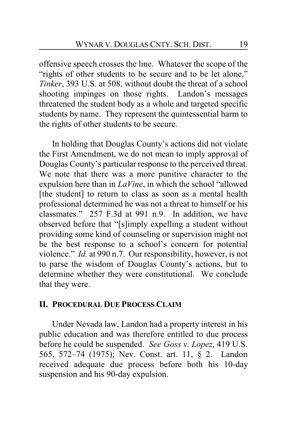offensive speech crosses the line. Whatever the scope of the "rights of other students to be secure and to be let alone," *Tinker*, 393 U.S. at 508, without doubt the threat of a school shooting impinges on those rights. Landon's messages threatened the student body as a whole and targeted specific students by name. They represent the quintessential harm to the rights of other students to be secure.

In holding that Douglas County's actions did not violate the First Amendment, we do not mean to imply approval of Douglas County's particular response to the perceived threat. We note that there was a more punitive character to the expulsion here than in *LaVine*, in which the school "allowed [the student] to return to class as soon as a mental health professional determined he was not a threat to himself or his classmates." 257 F.3d at 991 n.9. In addition, we have observed before that "[s]imply expelling a student without providing some kind of counseling or supervision might not be the best response to a school's concern for potential violence." *Id.* at 990 n.7. Our responsibility, however, is not to parse the wisdom of Douglas County's actions, but to determine whether they were constitutional. We conclude that they were.

## **II. PROCEDURAL DUE PROCESS CLAIM**

Under Nevada law, Landon had a property interest in his public education and was therefore entitled to due process before he could be suspended. *See Goss v. Lopez*, 419 U.S. 565, 572–74 (1975); Nev. Const. art. 11, § 2. Landon received adequate due process before both his 10-day suspension and his 90-day expulsion.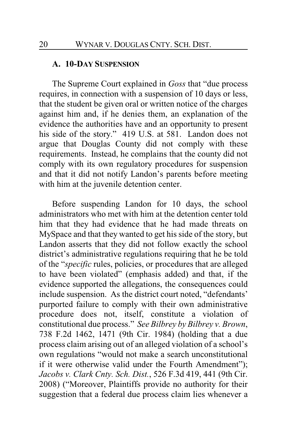#### **A. 10-DAY SUSPENSION**

The Supreme Court explained in *Goss* that "due process requires, in connection with a suspension of 10 days or less, that the student be given oral or written notice of the charges against him and, if he denies them, an explanation of the evidence the authorities have and an opportunity to present his side of the story." 419 U.S. at 581. Landon does not argue that Douglas County did not comply with these requirements. Instead, he complains that the county did not comply with its own regulatory procedures for suspension and that it did not notify Landon's parents before meeting with him at the juvenile detention center.

Before suspending Landon for 10 days, the school administrators who met with him at the detention center told him that they had evidence that he had made threats on MySpace and that they wanted to get his side of the story, but Landon asserts that they did not follow exactly the school district's administrative regulations requiring that he be told of the "*specific* rules, policies, or procedures that are alleged to have been violated" (emphasis added) and that, if the evidence supported the allegations, the consequences could include suspension. As the district court noted, "defendants' purported failure to comply with their own administrative procedure does not, itself, constitute a violation of constitutional due process." *See Bilbrey by Bilbrey v. Brown*, 738 F.2d 1462, 1471 (9th Cir. 1984) (holding that a due process claim arising out of an alleged violation of a school's own regulations "would not make a search unconstitutional if it were otherwise valid under the Fourth Amendment"); *Jacobs v. Clark Cnty. Sch. Dist.*, 526 F.3d 419, 441 (9th Cir. 2008) ("Moreover, Plaintiffs provide no authority for their suggestion that a federal due process claim lies whenever a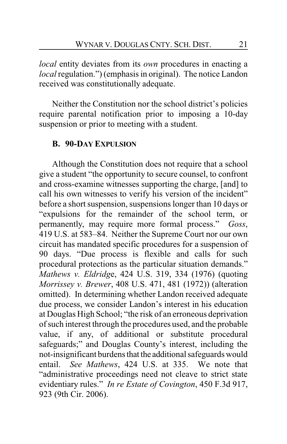*local* entity deviates from its *own* procedures in enacting a *local* regulation.") (emphasis in original). The notice Landon received was constitutionally adequate.

Neither the Constitution nor the school district's policies require parental notification prior to imposing a 10-day suspension or prior to meeting with a student.

## **B. 90-DAY EXPULSION**

Although the Constitution does not require that a school give a student "the opportunity to secure counsel, to confront and cross-examine witnesses supporting the charge, [and] to call his own witnesses to verify his version of the incident" before a short suspension, suspensions longer than 10 days or "expulsions for the remainder of the school term, or permanently, may require more formal process." *Goss*, 419 U.S. at 583–84. Neither the Supreme Court nor our own circuit has mandated specific procedures for a suspension of 90 days. "Due process is flexible and calls for such procedural protections as the particular situation demands." *Mathews v. Eldridg*e, 424 U.S. 319, 334 (1976) (quoting *Morrissey v. Brewer*, 408 U.S. 471, 481 (1972)) (alteration omitted). In determining whether Landon received adequate due process, we consider Landon's interest in his education at Douglas High School; "the risk of an erroneous deprivation of such interest through the procedures used, and the probable value, if any, of additional or substitute procedural safeguards;" and Douglas County's interest, including the not-insignificant burdens that the additional safeguards would entail. *See Mathews*, 424 U.S. at 335. We note that "administrative proceedings need not cleave to strict state evidentiary rules." *In re Estate of Covington*, 450 F.3d 917, 923 (9th Cir. 2006).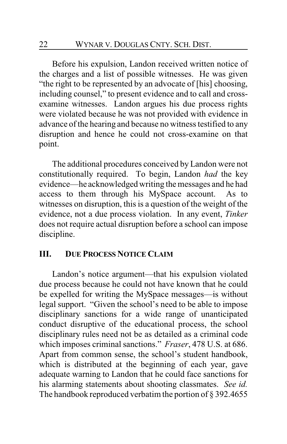Before his expulsion, Landon received written notice of the charges and a list of possible witnesses. He was given "the right to be represented by an advocate of [his] choosing, including counsel," to present evidence and to call and crossexamine witnesses. Landon argues his due process rights were violated because he was not provided with evidence in advance of the hearing and because no witness testified to any disruption and hence he could not cross-examine on that point.

The additional procedures conceived by Landon were not constitutionally required. To begin, Landon *had* the key evidence—he acknowledged writing the messages and he had access to them through his MySpace account. As to witnesses on disruption, this is a question of the weight of the evidence, not a due process violation. In any event, *Tinker* does not require actual disruption before a school can impose discipline.

## **III. DUE PROCESS NOTICE CLAIM**

Landon's notice argument—that his expulsion violated due process because he could not have known that he could be expelled for writing the MySpace messages—is without legal support. "Given the school's need to be able to impose disciplinary sanctions for a wide range of unanticipated conduct disruptive of the educational process, the school disciplinary rules need not be as detailed as a criminal code which imposes criminal sanctions." *Fraser*, 478 U.S. at 686. Apart from common sense, the school's student handbook, which is distributed at the beginning of each year, gave adequate warning to Landon that he could face sanctions for his alarming statements about shooting classmates. *See id.* The handbook reproduced verbatim the portion of § 392.4655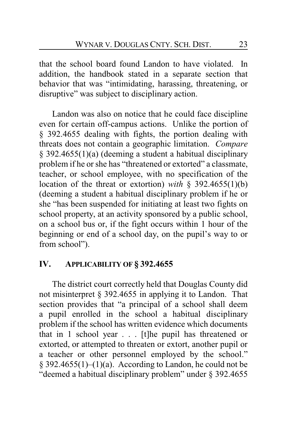that the school board found Landon to have violated. In addition, the handbook stated in a separate section that behavior that was "intimidating, harassing, threatening, or disruptive" was subject to disciplinary action.

Landon was also on notice that he could face discipline even for certain off-campus actions. Unlike the portion of § 392.4655 dealing with fights, the portion dealing with threats does not contain a geographic limitation. *Compare* § 392.4655(1)(a) (deeming a student a habitual disciplinary problem if he or she has "threatened or extorted" a classmate, teacher, or school employee, with no specification of the location of the threat or extortion) *with* § 392.4655(1)(b) (deeming a student a habitual disciplinary problem if he or she "has been suspended for initiating at least two fights on school property, at an activity sponsored by a public school, on a school bus or, if the fight occurs within 1 hour of the beginning or end of a school day, on the pupil's way to or from school").

## **IV. APPLICABILITY OF § 392.4655**

The district court correctly held that Douglas County did not misinterpret § 392.4655 in applying it to Landon. That section provides that "a principal of a school shall deem a pupil enrolled in the school a habitual disciplinary problem if the school has written evidence which documents that in 1 school year . . . [t]he pupil has threatened or extorted, or attempted to threaten or extort, another pupil or a teacher or other personnel employed by the school."  $\S 392.4655(1)–(1)(a)$ . According to Landon, he could not be "deemed a habitual disciplinary problem" under § 392.4655